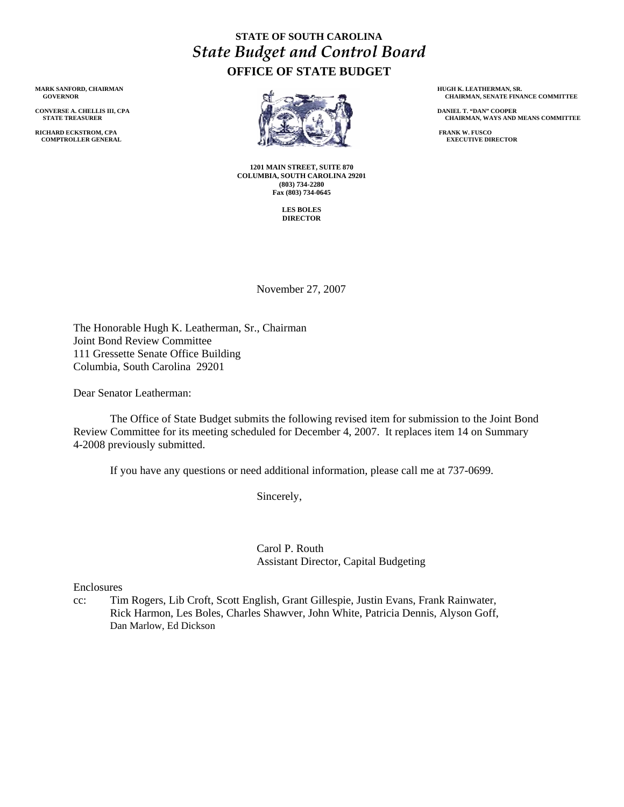## **STATE OF SOUTH CAROLINA**  *State Budget and Control Board* **OFFICE OF STATE BUDGET**

**MARK SANFORD, CHAIRMAN GOVERNOR** 

**CONVERSE A. CHELLIS III, CPA STATE TREASURER** 

**RICHARD ECKSTROM, CPA COMPTROLLER GENERAL** 



**1201 MAIN STREET, SUITE 870 COLUMBIA, SOUTH CAROLINA 29201 (803) 734-2280 Fax (803) 734-0645** 

> **LES BOLES DIRECTOR**

 **HUGH K. LEATHERMAN, SR. CHAIRMAN, SENATE FINANCE COMMITTEE** 

 **DANIEL T. "DAN" COOPER CHAIRMAN, WAYS AND MEANS COMMITTEE** 

 **FRANK W. FUSCO EXECUTIVE DIRECTOR** 

November 27, 2007

The Honorable Hugh K. Leatherman, Sr., Chairman Joint Bond Review Committee 111 Gressette Senate Office Building Columbia, South Carolina 29201

Dear Senator Leatherman:

 The Office of State Budget submits the following revised item for submission to the Joint Bond Review Committee for its meeting scheduled for December 4, 2007. It replaces item 14 on Summary 4-2008 previously submitted.

If you have any questions or need additional information, please call me at 737-0699.

Sincerely,

 Carol P. Routh Assistant Director, Capital Budgeting

Enclosures

cc: Tim Rogers, Lib Croft, Scott English, Grant Gillespie, Justin Evans, Frank Rainwater, Rick Harmon, Les Boles, Charles Shawver, John White, Patricia Dennis, Alyson Goff, Dan Marlow, Ed Dickson